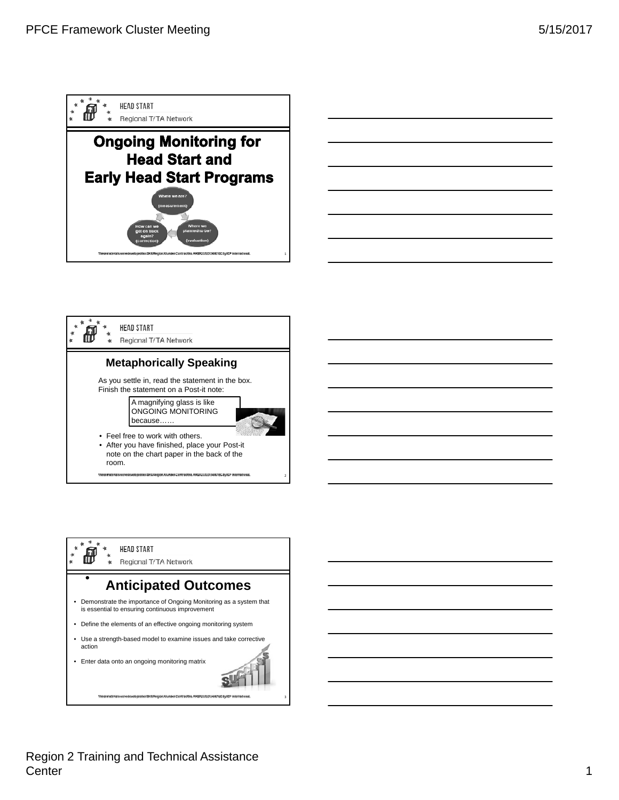





Region 2 Training and Technical Assistance Center 2008 and 2008 and 2008 and 2008 and 2008 and 2008 and 2008 and 2008 and 2008 and 2008 and 2008 and 2008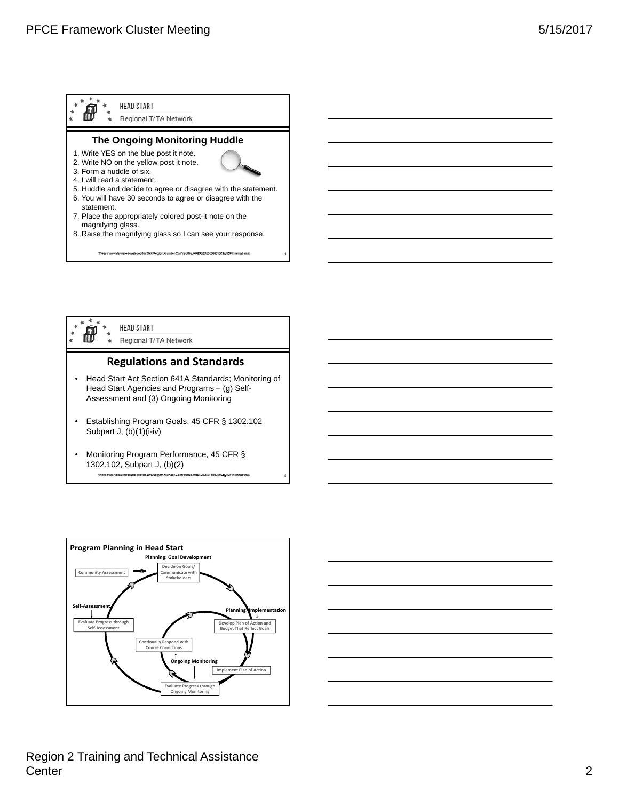



5



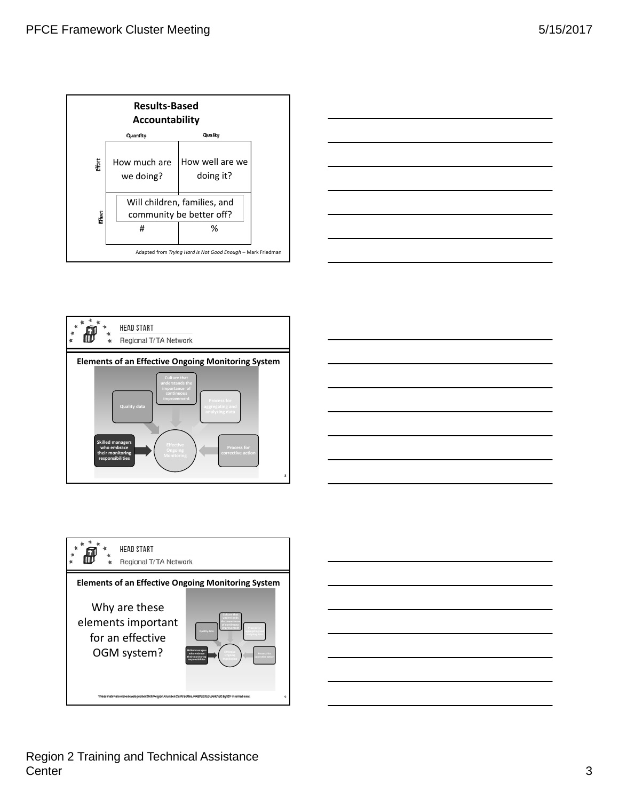









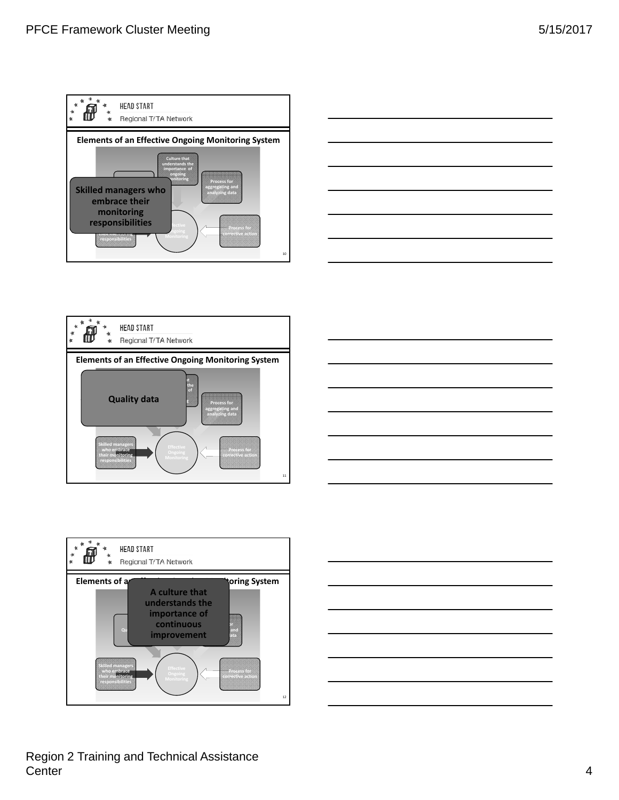











## Region 2 Training and Technical Assistance Center **4**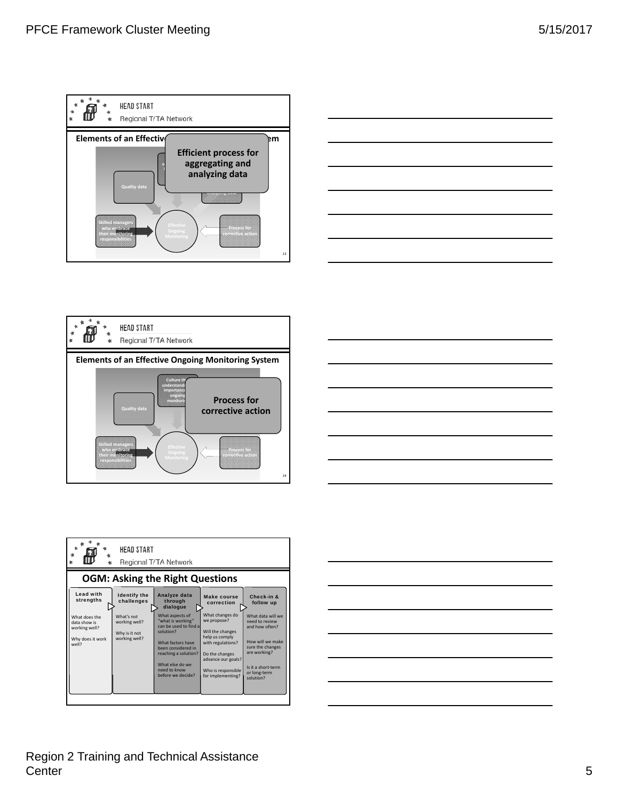









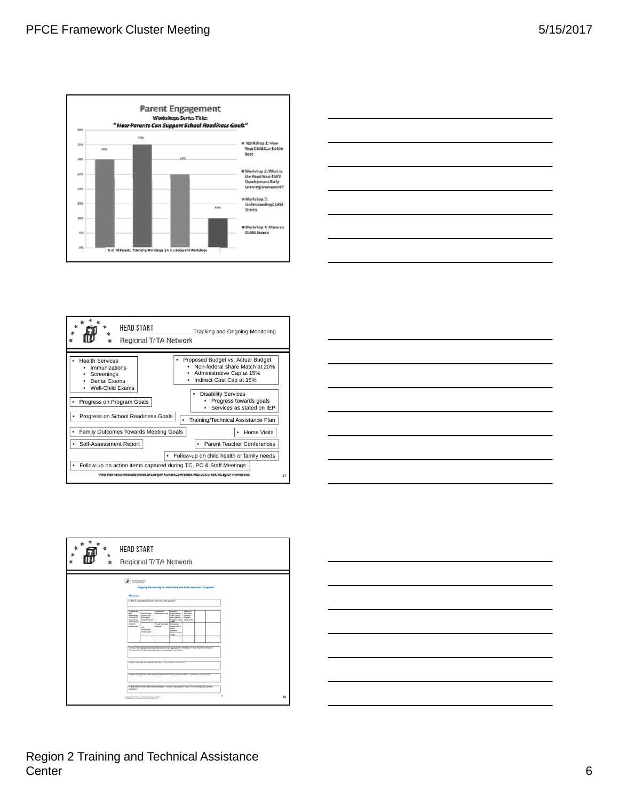